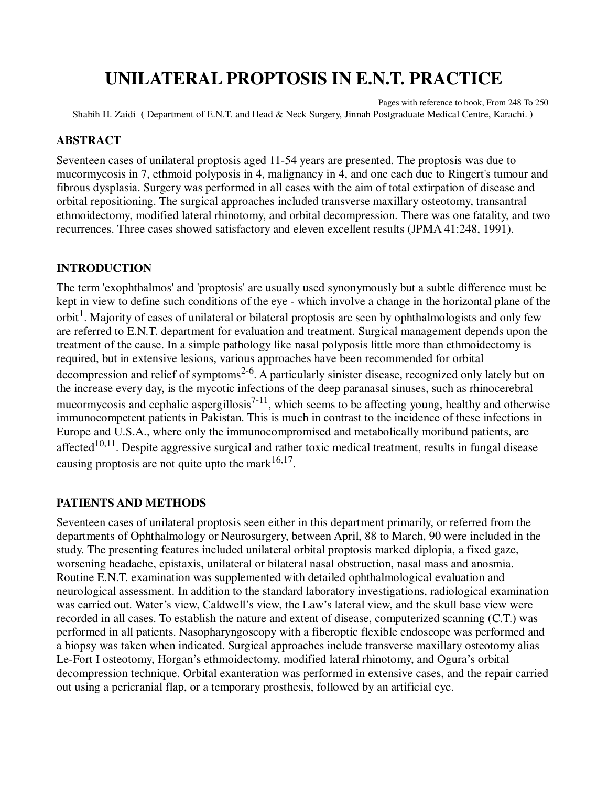# **UNILATERAL PROPTOSIS IN E.N.T. PRACTICE**

Pages with reference to book, From 248 To 250 Shabih H. Zaidi **(** Department of E.N.T. and Head & Neck Surgery, Jinnah Postgraduate Medical Centre, Karachi. **)** 

## **ABSTRACT**

Seventeen cases of unilateral proptosis aged 11-54 years are presented. The proptosis was due to mucormycosis in 7, ethmoid polyposis in 4, malignancy in 4, and one each due to Ringert's tumour and fibrous dysplasia. Surgery was performed in all cases with the aim of total extirpation of disease and orbital repositioning. The surgical approaches included transverse maxillary osteotomy, transantral ethmoidectomy, modified lateral rhinotomy, and orbital decompression. There was one fatality, and two recurrences. Three cases showed satisfactory and eleven excellent results (JPMA 41:248, 1991).

## **INTRODUCTION**

The term 'exophthalmos' and 'proptosis' are usually used synonymously but a subtle difference must be kept in view to define such conditions of the eye - which involve a change in the horizontal plane of the orbit<sup>1</sup>. Majority of cases of unilateral or bilateral proptosis are seen by ophthalmologists and only few are referred to E.N.T. department for evaluation and treatment. Surgical management depends upon the treatment of the cause. In a simple pathology like nasal polyposis little more than ethmoidectomy is required, but in extensive lesions, various approaches have been recommended for orbital decompression and relief of symptoms<sup>2-6</sup>. A particularly sinister disease, recognized only lately but on the increase every day, is the mycotic infections of the deep paranasal sinuses, such as rhinocerebral mucormycosis and cephalic aspergillosis<sup>7-11</sup>, which seems to be affecting young, healthy and otherwise immunocompetent patients in Pakistan. This is much in contrast to the incidence of these infections in Europe and U.S.A., where only the immunocompromised and metabolically moribund patients, are affected<sup>10,11</sup>. Despite aggressive surgical and rather toxic medical treatment, results in fungal disease causing proptosis are not quite upto the mark  $16,17$ .

# **PATIENTS AND METHODS**

Seventeen cases of unilateral proptosis seen either in this department primarily, or referred from the departments of Ophthalmology or Neurosurgery, between April, 88 to March, 90 were included in the study. The presenting features included unilateral orbital proptosis marked diplopia, a fixed gaze, worsening headache, epistaxis, unilateral or bilateral nasal obstruction, nasal mass and anosmia. Routine E.N.T. examination was supplemented with detailed ophthalmological evaluation and neurological assessment. In addition to the standard laboratory investigations, radiological examination was carried out. Water's view, Caldwell's view, the Law's lateral view, and the skull base view were recorded in all cases. To establish the nature and extent of disease, computerized scanning (C.T.) was performed in all patients. Nasopharyngoscopy with a fiberoptic flexible endoscope was performed and a biopsy was taken when indicated. Surgical approaches include transverse maxillary osteotomy alias Le-Fort I osteotomy, Horgan's ethmoidectomy, modified lateral rhinotomy, and Ogura's orbital decompression technique. Orbital exanteration was performed in extensive cases, and the repair carried out using a pericranial flap, or a temporary prosthesis, followed by an artificial eye.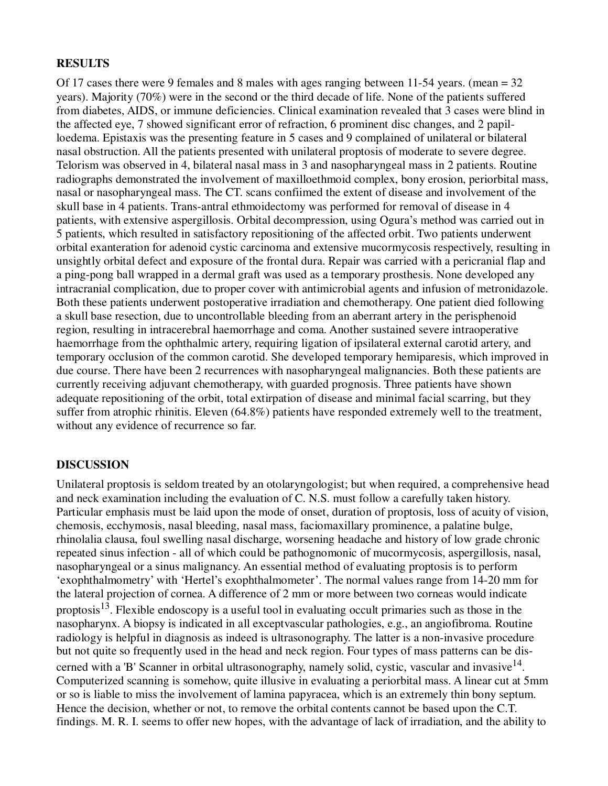#### **RESULTS**

Of 17 cases there were 9 females and 8 males with ages ranging between 11-54 years. (mean  $= 32$ ) years). Majority (70%) were in the second or the third decade of life. None of the patients suffered from diabetes, AIDS, or immune deficiencies. Clinical examination revealed that 3 cases were blind in the affected eye, 7 showed significant error of refraction, 6 prominent disc changes, and 2 papilloedema. Epistaxis was the presenting feature in 5 cases and 9 complained of unilateral or bilateral nasal obstruction. All the patients presented with unilateral proptosis of moderate to severe degree. Telorism was observed in 4, bilateral nasal mass in 3 and nasopharyngeal mass in 2 patients. Routine radiographs demonstrated the involvement of maxilloethmoid complex, bony erosion, periorbital mass, nasal or nasopharyngeal mass. The CT. scans confiimed the extent of disease and involvement of the skull base in 4 patients. Trans-antral ethmoidectomy was performed for removal of disease in 4 patients, with extensive aspergillosis. Orbital decompression, using Ogura's method was carried out in 5 patients, which resulted in satisfactory repositioning of the affected orbit. Two patients underwent orbital exanteration for adenoid cystic carcinoma and extensive mucormycosis respectively, resulting in unsightly orbital defect and exposure of the frontal dura. Repair was carried with a pericranial flap and a ping-pong ball wrapped in a dermal graft was used as a temporary prosthesis. None developed any intracranial complication, due to proper cover with antimicrobial agents and infusion of metronidazole. Both these patients underwent postoperative irradiation and chemotherapy. One patient died following a skull base resection, due to uncontrollable bleeding from an aberrant artery in the perisphenoid region, resulting in intracerebral haemorrhage and coma. Another sustained severe intraoperative haemorrhage from the ophthalmic artery, requiring ligation of ipsilateral external carotid artery, and temporary occlusion of the common carotid. She developed temporary hemiparesis, which improved in due course. There have been 2 recurrences with nasopharyngeal malignancies. Both these patients are currently receiving adjuvant chemotherapy, with guarded prognosis. Three patients have shown adequate repositioning of the orbit, total extirpation of disease and minimal facial scarring, but they suffer from atrophic rhinitis. Eleven (64.8%) patients have responded extremely well to the treatment, without any evidence of recurrence so far.

#### **DISCUSSION**

Unilateral proptosis is seldom treated by an otolaryngologist; but when required, a comprehensive head and neck examination including the evaluation of C. N.S. must follow a carefully taken history. Particular emphasis must be laid upon the mode of onset, duration of proptosis, loss of acuity of vision, chemosis, ecchymosis, nasal bleeding, nasal mass, faciomaxillary prominence, a palatine bulge, rhinolalia clausa, foul swelling nasal discharge, worsening headache and history of low grade chronic repeated sinus infection - all of which could be pathognomonic of mucormycosis, aspergillosis, nasal, nasopharyngeal or a sinus malignancy. An essential method of evaluating proptosis is to perform 'exophthalmometry' with 'Hertel's exophthalmometer'. The normal values range from 14-20 mm for the lateral projection of cornea. A difference of 2 mm or more between two corneas would indicate proptosis<sup>13</sup>. Flexible endoscopy is a useful tool in evaluating occult primaries such as those in the nasopharynx. A biopsy is indicated in all exceptvascular pathologies, e.g., an angiofibroma. Routine radiology is helpful in diagnosis as indeed is ultrasonography. The latter is a non-invasive procedure but not quite so frequently used in the head and neck region. Four types of mass patterns can be discerned with a 'B' Scanner in orbital ultrasonography, namely solid, cystic, vascular and invasive  $14$ . Computerized scanning is somehow, quite illusive in evaluating a periorbital mass. A linear cut at 5mm or so is liable to miss the involvement of lamina papyracea, which is an extremely thin bony septum. Hence the decision, whether or not, to remove the orbital contents cannot be based upon the C.T. findings. M. R. I. seems to offer new hopes, with the advantage of lack of irradiation, and the ability to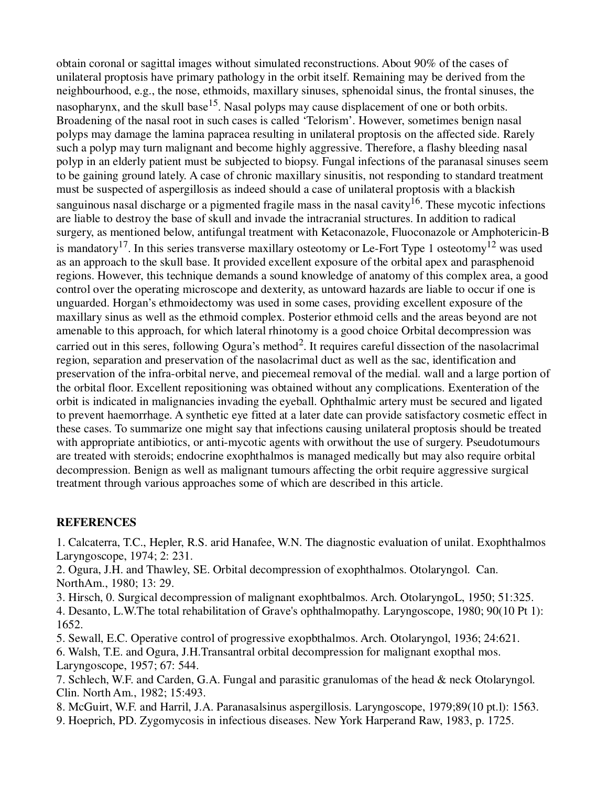obtain coronal or sagittal images without simulated reconstructions. About 90% of the cases of unilateral proptosis have primary pathology in the orbit itself. Remaining may be derived from the neighbourhood, e.g., the nose, ethmoids, maxillary sinuses, sphenoidal sinus, the frontal sinuses, the nasopharynx, and the skull base<sup>15</sup>. Nasal polyps may cause displacement of one or both orbits. Broadening of the nasal root in such cases is called 'Telorism'. However, sometimes benign nasal polyps may damage the lamina papracea resulting in unilateral proptosis on the affected side. Rarely such a polyp may turn malignant and become highly aggressive. Therefore, a flashy bleeding nasal polyp in an elderly patient must be subjected to biopsy. Fungal infections of the paranasal sinuses seem to be gaining ground lately. A case of chronic maxillary sinusitis, not responding to standard treatment must be suspected of aspergillosis as indeed should a case of unilateral proptosis with a blackish sanguinous nasal discharge or a pigmented fragile mass in the nasal cavity<sup>16</sup>. These mycotic infections are liable to destroy the base of skull and invade the intracranial structures. In addition to radical surgery, as mentioned below, antifungal treatment with Ketaconazole, Fluoconazole or Amphotericin-B is mandatory<sup>17</sup>. In this series transverse maxillary osteotomy or Le-Fort Type 1 osteotomy<sup>12</sup> was used as an approach to the skull base. It provided excellent exposure of the orbital apex and parasphenoid regions. However, this technique demands a sound knowledge of anatomy of this complex area, a good control over the operating microscope and dexterity, as untoward hazards are liable to occur if one is unguarded. Horgan's ethmoidectomy was used in some cases, providing excellent exposure of the maxillary sinus as well as the ethmoid complex. Posterior ethmoid cells and the areas beyond are not amenable to this approach, for which lateral rhinotomy is a good choice Orbital decompression was carried out in this seres, following Ogura's method<sup>2</sup>. It requires careful dissection of the nasolacrimal region, separation and preservation of the nasolacrimal duct as well as the sac, identification and preservation of the infra-orbital nerve, and piecemeal removal of the medial. wall and a large portion of the orbital floor. Excellent repositioning was obtained without any complications. Exenteration of the orbit is indicated in malignancies invading the eyeball. Ophthalmic artery must be secured and ligated to prevent haemorrhage. A synthetic eye fitted at a later date can provide satisfactory cosmetic effect in these cases. To summarize one might say that infections causing unilateral proptosis should be treated with appropriate antibiotics, or anti-mycotic agents with orwithout the use of surgery. Pseudotumours are treated with steroids; endocrine exophthalmos is managed medically but may also require orbital decompression. Benign as well as malignant tumours affecting the orbit require aggressive surgical treatment through various approaches some of which are described in this article.

# **REFERENCES**

1. Calcaterra, T.C., Hepler, R.S. arid Hanafee, W.N. The diagnostic evaluation of unilat. Exophthalmos Laryngoscope, 1974; 2: 231.

2. Ogura, J.H. and Thawley, SE. Orbital decompression of exophthalmos. Otolaryngol. Can. NorthAm., 1980; 13: 29.

3. Hirsch, 0. Surgical decompression of malignant exophtbalmos. Arch. OtolaryngoL, 1950; 51:325.

4. Desanto, L.W.The total rehabilitation of Grave's ophthalmopathy. Laryngoscope, 1980; 90(10 Pt 1): 1652.

5. Sewall, E.C. Operative control of progressive exopbthalmos. Arch. Otolaryngol, 1936; 24:621.

6. Walsh, T.E. and Ogura, J.H.Transantral orbital decompression for malignant exopthal mos. Laryngoscope, 1957; 67: 544.

7. Schlech, W.F. and Carden, G.A. Fungal and parasitic granulomas of the head & neck Otolaryngol. Clin. North Am., 1982; 15:493.

8. McGuirt, W.F. and Harril, J.A. Paranasalsinus aspergillosis. Laryngoscope, 1979;89(10 pt.l): 1563. 9. Hoeprich, PD. Zygomycosis in infectious diseases. New York Harperand Raw, 1983, p. 1725.